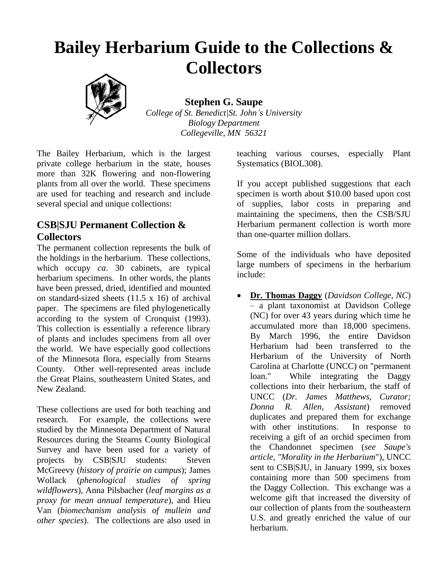# **Bailey Herbarium Guide to the Collections & Collectors**



**Stephen G. Saupe** *College of St. Benedict|St. John's University Biology Department*

*Collegeville, MN 56321*

The Bailey Herbarium, which is the largest private college herbarium in the state, houses more than 32K flowering and non-flowering plants from all over the world. These specimens are used for teaching and research and include several special and unique collections:

### **CSB|SJU Permanent Collection & Collectors**

The permanent collection represents the bulk of the holdings in the herbarium. These collections, which occupy *ca*. 30 cabinets, are typical herbarium specimens. In other words, the plants have been pressed, dried, identified and mounted on standard-sized sheets (11.5 x 16) of archival paper. The specimens are filed phylogenetically according to the system of Cronquist (1993). This collection is essentially a reference library of plants and includes specimens from all over the world. We have especially good collections of the Minnesota flora, especially from Stearns County. Other well-represented areas include the Great Plains, southeastern United States, and New Zealand.

These collections are used for both teaching and research. For example, the collections were studied by the Minnesota Department of Natural Resources during the Stearns County Biological Survey and have been used for a variety of projects by CSB|SJU students: Steven McGreevy (*history of prairie on campus*); James Wollack (*phenological studies of spring wildflowers*), Anna Pilsbacher (*leaf margins as a proxy for mean annual temperature*), and Hieu Van (*biomechanism analysis of mullein and other species*). The collections are also used in

teaching various courses, especially Plant Systematics (BIOL308).

If you accept published suggestions that each specimen is worth about \$10.00 based upon cost of supplies, labor costs in preparing and maintaining the specimens, then the CSB/SJU Herbarium permanent collection is worth more than one-quarter million dollars.

Some of the individuals who have deposited large numbers of specimens in the herbarium include:

• **Dr. Thomas Daggy** (*Davidson College, NC*) – a plant taxonomist at Davidson College (NC) for over 43 years during which time he accumulated more than 18,000 specimens. By March 1996, the entire Davidson Herbarium had been transferred to the Herbarium of the University of North Carolina at Charlotte (UNCC) on "permanent loan." While integrating the Daggy collections into their herbarium, the staff of UNCC (*Dr. James Matthews, Curator; Donna R. Allen, Assistant*) removed duplicates and prepared them for exchange with other institutions. In response to receiving a gift of an orchid specimen from the Chandonnet specimen (*see Saupe's article, "Morality in the Herbarium*"), UNCC sent to CSB|SJU, in January 1999, six boxes containing more than 500 specimens from the Daggy Collection. This exchange was a welcome gift that increased the diversity of our collection of plants from the southeastern U.S. and greatly enriched the value of our herbarium.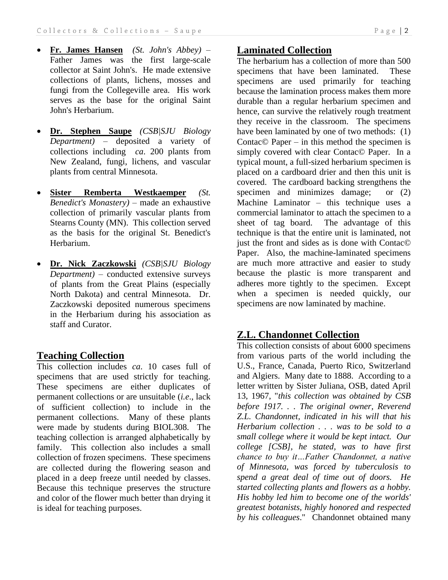- **Fr. James Hansen** *(St. John's Abbey)* Father James was the first large-scale collector at Saint John's. He made extensive collections of plants, lichens, mosses and fungi from the Collegeville area. His work serves as the base for the original Saint John's Herbarium.
- **Dr. Stephen Saupe** *(CSB|SJU Biology Department)* – deposited a variety of collections including *ca*. 200 plants from New Zealand, fungi, lichens, and vascular plants from central Minnesota.
- **Sister Remberta Westkaemper** *(St. Benedict's Monastery)* – made an exhaustive collection of primarily vascular plants from Stearns County (MN). This collection served as the basis for the original St. Benedict's Herbarium.
- **Dr. Nick Zaczkowski** *(CSB|SJU Biology Department)* – conducted extensive surveys of plants from the Great Plains (especially North Dakota) and central Minnesota. Dr. Zaczkowski deposited numerous specimens in the Herbarium during his association as staff and Curator.

## **Teaching Collection**

This collection includes *ca*. 10 cases full of specimens that are used strictly for teaching. These specimens are either duplicates of permanent collections or are unsuitable (*i.e*., lack of sufficient collection) to include in the permanent collections. Many of these plants were made by students during BIOL308. The teaching collection is arranged alphabetically by family. This collection also includes a small collection of frozen specimens. These specimens are collected during the flowering season and placed in a deep freeze until needed by classes. Because this technique preserves the structure and color of the flower much better than drying it is ideal for teaching purposes.

## **Laminated Collection**

The herbarium has a collection of more than 500 specimens that have been laminated. These specimens are used primarily for teaching because the lamination process makes them more durable than a regular herbarium specimen and hence, can survive the relatively rough treatment they receive in the classroom. The specimens have been laminated by one of two methods: (1) Contac© Paper – in this method the specimen is simply covered with clear Contac© Paper. In a typical mount, a full-sized herbarium specimen is placed on a cardboard drier and then this unit is covered. The cardboard backing strengthens the specimen and minimizes damage; or  $(2)$ Machine Laminator – this technique uses a commercial laminator to attach the specimen to a sheet of tag board. The advantage of this technique is that the entire unit is laminated, not just the front and sides as is done with Contac© Paper. Also, the machine-laminated specimens are much more attractive and easier to study because the plastic is more transparent and adheres more tightly to the specimen. Except when a specimen is needed quickly, our specimens are now laminated by machine.

## **Z.L. Chandonnet Collection**

This collection consists of about 6000 specimens from various parts of the world including the U.S., France, Canada, Puerto Rico, Switzerland and Algiers. Many date to 1888. According to a letter written by Sister Juliana, OSB, dated April 13, 1967, "*this collection was obtained by CSB before 1917. . . The original owner, Reverend Z.L. Chandonnet, indicated in his will that his Herbarium collection . . . was to be sold to a small college where it would be kept intact. Our college [CSB], he stated, was to have first chance to buy it…Father Chandonnet, a native of Minnesota, was forced by tuberculosis to spend a great deal of time out of doors. He started collecting plants and flowers as a hobby. His hobby led him to become one of the worlds' greatest botanists, highly honored and respected by his colleagues*." Chandonnet obtained many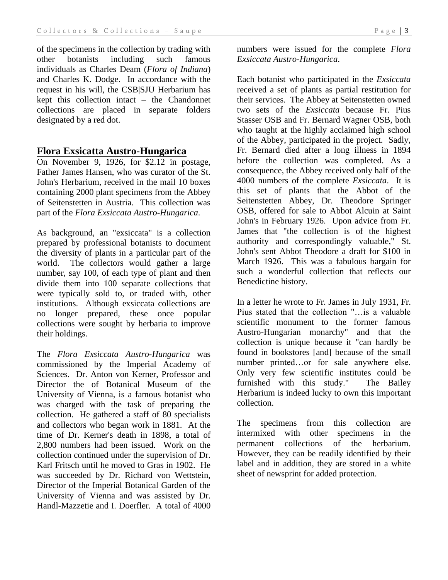of the specimens in the collection by trading with other botanists including such famous individuals as Charles Deam (*Flora of Indiana*) and Charles K. Dodge. In accordance with the request in his will, the CSB|SJU Herbarium has kept this collection intact – the Chandonnet collections are placed in separate folders designated by a red dot.

#### **Flora Exsicatta Austro-Hungarica**

On November 9, 1926, for \$2.12 in postage, Father James Hansen, who was curator of the St. John's Herbarium, received in the mail 10 boxes containing 2000 plant specimens from the Abbey of Seitenstetten in Austria. This collection was part of the *Flora Exsiccata Austro-Hungarica*.

As background, an "exsiccata" is a collection prepared by professional botanists to document the diversity of plants in a particular part of the world. The collectors would gather a large number, say 100, of each type of plant and then divide them into 100 separate collections that were typically sold to, or traded with, other institutions. Although exsiccata collections are no longer prepared, these once popular collections were sought by herbaria to improve their holdings.

The *Flora Exsiccata Austro-Hungarica* was commissioned by the Imperial Academy of Sciences. Dr. Anton von Kerner, Professor and Director the of Botanical Museum of the University of Vienna, is a famous botanist who was charged with the task of preparing the collection. He gathered a staff of 80 specialists and collectors who began work in 1881. At the time of Dr. Kerner's death in 1898, a total of 2,800 numbers had been issued. Work on the collection continued under the supervision of Dr. Karl Fritsch until he moved to Gras in 1902. He was succeeded by Dr. Richard von Wettstein, Director of the Imperial Botanical Garden of the University of Vienna and was assisted by Dr. Handl-Mazzetie and I. Doerfler. A total of 4000

numbers were issued for the complete *Flora Exsiccata Austro-Hungarica*.

Each botanist who participated in the *Exsiccata* received a set of plants as partial restitution for their services. The Abbey at Seitenstetten owned two sets of the *Exsiccata* because Fr. Pius Stasser OSB and Fr. Bernard Wagner OSB, both who taught at the highly acclaimed high school of the Abbey, participated in the project. Sadly, Fr. Bernard died after a long illness in 1894 before the collection was completed. As a consequence, the Abbey received only half of the 4000 numbers of the complete *Exsiccata*. It is this set of plants that the Abbot of the Seitenstetten Abbey, Dr. Theodore Springer OSB, offered for sale to Abbot Alcuin at Saint John's in February 1926. Upon advice from Fr. James that "the collection is of the highest authority and correspondingly valuable," St. John's sent Abbot Theodore a draft for \$100 in March 1926. This was a fabulous bargain for such a wonderful collection that reflects our Benedictine history.

In a letter he wrote to Fr. James in July 1931, Fr. Pius stated that the collection "…is a valuable scientific monument to the former famous Austro-Hungarian monarchy" and that the collection is unique because it "can hardly be found in bookstores [and] because of the small number printed…or for sale anywhere else. Only very few scientific institutes could be furnished with this study." The Bailey Herbarium is indeed lucky to own this important collection.

The specimens from this collection are intermixed with other specimens in the permanent collections of the herbarium. However, they can be readily identified by their label and in addition, they are stored in a white sheet of newsprint for added protection.